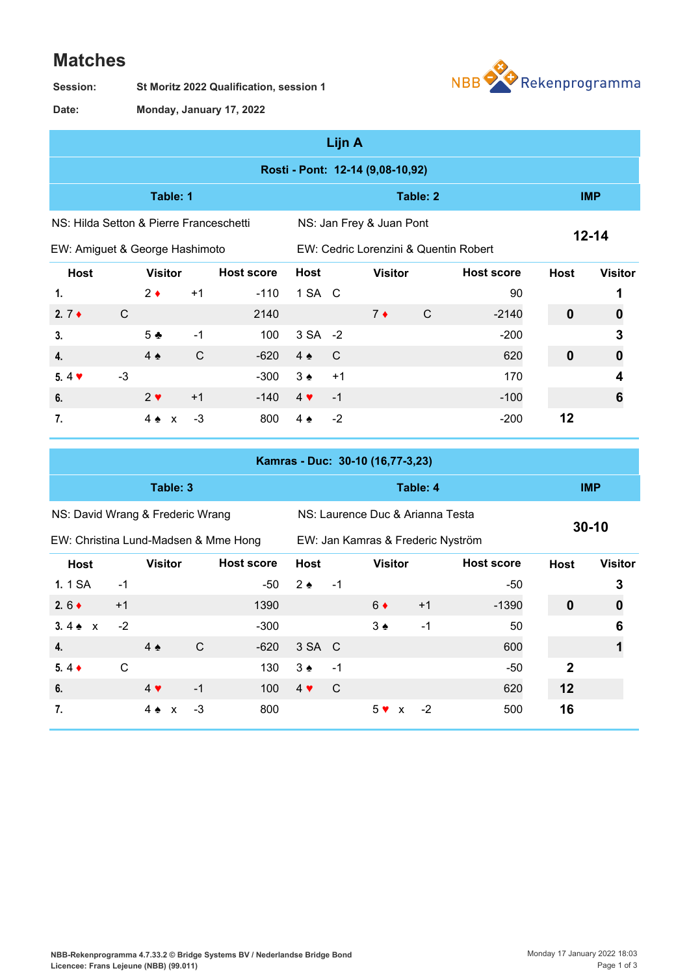## **Matches**

**St Moritz 2022 Qualification, session 1 Session:**



**Monday, January 17, 2022 Date:**

| Lijn A |
|--------|
|--------|

|                                         |      |                  |              |                   |               | ыш а |                                       |            |                   |                  |                |  |
|-----------------------------------------|------|------------------|--------------|-------------------|---------------|------|---------------------------------------|------------|-------------------|------------------|----------------|--|
|                                         |      |                  |              |                   |               |      | Rosti - Pont: 12-14 (9,08-10,92)      |            |                   |                  |                |  |
| Table: 1                                |      |                  |              |                   |               |      | Table: 2                              | <b>IMP</b> |                   |                  |                |  |
| NS: Hilda Setton & Pierre Franceschetti |      |                  |              |                   |               |      | NS: Jan Frey & Juan Pont              |            |                   |                  |                |  |
| EW: Amiguet & George Hashimoto          |      |                  |              |                   |               |      | EW: Cedric Lorenzini & Quentin Robert |            |                   | $12 - 14$        |                |  |
| <b>Host</b>                             |      | <b>Visitor</b>   |              | <b>Host score</b> | <b>Host</b>   |      | <b>Visitor</b>                        |            | <b>Host score</b> | <b>Host</b>      | <b>Visitor</b> |  |
| 1.                                      |      | $2 \bullet$      | $+1$         | $-110$            | 1 SA C        |      |                                       |            | 90                |                  |                |  |
| 2. $7 +$                                | C    |                  |              | 2140              |               |      | $7*$                                  | C          | $-2140$           | $\mathbf 0$      | 0              |  |
| 3.                                      |      | 5 <sub>2</sub>   | $-1$         | 100               | 3 SA -2       |      |                                       |            | $-200$            |                  | 3              |  |
| $\overline{4}$ .                        |      | $4 \triangle$    | $\mathsf{C}$ | $-620$            | $4 \triangle$ | C    |                                       |            | 620               | $\boldsymbol{0}$ | 0              |  |
| 5.4 $\blacktriangledown$                | $-3$ |                  |              | $-300$            | $3 \triangle$ | $+1$ |                                       |            | 170               |                  | 4              |  |
| 6.                                      |      | $2 \vee$         | $+1$         | $-140$            | $4 \cdot$     | $-1$ |                                       |            | $-100$            |                  | 6              |  |
| 7.                                      |      | 4 <del>∡</del> x | $-3$         | 800               | $4 \triangle$ | $-2$ |                                       |            | $-200$            | 12               |                |  |

|                                      |              |                               |               |                   |                   |      | Kamras - Duc: 30-10 (16,77-3,23)  |          |                   |              |                  |
|--------------------------------------|--------------|-------------------------------|---------------|-------------------|-------------------|------|-----------------------------------|----------|-------------------|--------------|------------------|
|                                      |              | Table: 3                      |               |                   |                   |      |                                   | Table: 4 |                   |              | <b>IMP</b>       |
| NS: David Wrang & Frederic Wrang     |              |                               |               |                   |                   |      | NS: Laurence Duc & Arianna Testa  |          |                   |              | $30 - 10$        |
| EW: Christina Lund-Madsen & Mme Hong |              |                               |               |                   |                   |      | EW: Jan Kamras & Frederic Nyström |          |                   |              |                  |
| <b>Host</b>                          |              | <b>Visitor</b>                |               | <b>Host score</b> | <b>Host</b>       |      | <b>Visitor</b>                    |          | <b>Host score</b> | <b>Host</b>  | <b>Visitor</b>   |
| 1. 1 SA                              | $-1$         |                               |               | -50               | $2 \triangle$     | $-1$ |                                   |          | -50               |              | 3                |
| 2.6 $\triangleleft$                  | $+1$         |                               |               | 1390              |                   |      | $6 \bullet$                       | $+1$     | $-1390$           | $\mathbf 0$  | $\boldsymbol{0}$ |
| 3.4 $\triangle$ x                    | $-2$         |                               |               | $-300$            |                   |      | $3 \triangleleft$                 | $-1$     | 50                |              | 6                |
| $\overline{4}$ .                     |              | $4 \triangle$                 | $\mathcal{C}$ | $-620$            | 3 SA C            |      |                                   |          | 600               |              |                  |
| $5.4 \bullet$                        | $\mathsf{C}$ |                               |               | 130               | $3 \triangleleft$ | $-1$ |                                   |          | -50               | $\mathbf{2}$ |                  |
| 6.                                   |              | $4 \vee$                      | $-1$          | 100               | $4 \vee$          | C    |                                   |          | 620               | 12           |                  |
| 7.                                   |              | $4 \triangle$<br>$\mathbf{x}$ | -3            | 800               |                   |      | $5 \vee x$                        | $-2$     | 500               | 16           |                  |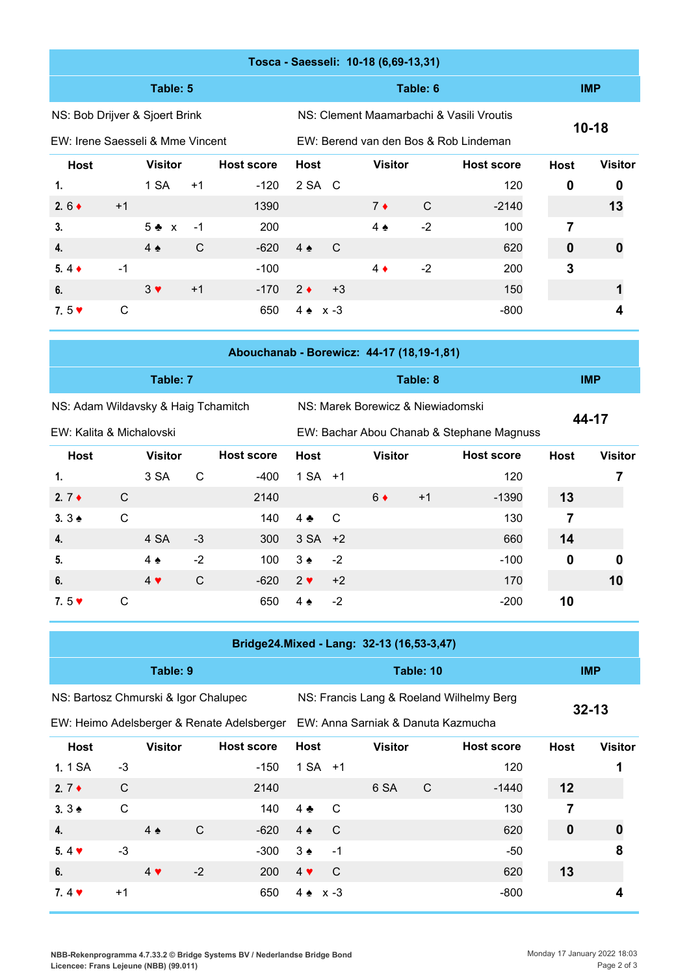|                                  |      |                |      |                   |                 |   |      | Tosca - Saesseli: 10-18 (6,69-13,31) |                                          |                                       |             |                |
|----------------------------------|------|----------------|------|-------------------|-----------------|---|------|--------------------------------------|------------------------------------------|---------------------------------------|-------------|----------------|
|                                  |      | Table: 5       |      |                   |                 |   |      |                                      | Table: 6                                 |                                       |             | <b>IMP</b>     |
| NS: Bob Drijver & Sjoert Brink   |      |                |      |                   |                 |   |      |                                      | NS: Clement Maamarbachi & Vasili Vroutis |                                       |             |                |
| EW: Irene Saesseli & Mme Vincent |      |                |      |                   |                 |   |      |                                      |                                          | EW: Berend van den Bos & Rob Lindeman | $10 - 18$   |                |
| Host                             |      | <b>Visitor</b> |      | <b>Host score</b> | <b>Host</b>     |   |      | <b>Visitor</b>                       |                                          | <b>Host score</b>                     | <b>Host</b> | <b>Visitor</b> |
| 1.                               |      | 1 SA           | $+1$ | $-120$            | 2 SA C          |   |      |                                      |                                          | 120                                   | $\mathbf 0$ | 0              |
| 2.6 $\bullet$                    | $+1$ |                |      | 1390              |                 |   |      | $7 \bullet$                          | $\mathsf{C}$                             | $-2140$                               |             | 13             |
| 3.                               |      | $5 + x$        | $-1$ | 200               |                 |   |      | $4 \triangleleft$                    | $-2$                                     | 100                                   | 7           |                |
| $\overline{4}$ .                 |      | $4 \triangle$  | C    | $-620$            | $4 \triangle$   | C |      |                                      |                                          | 620                                   | 0           | 0              |
| $5.4 \bullet$                    | $-1$ |                |      | $-100$            |                 |   |      | $4 \bullet$                          | $-2$                                     | 200                                   | 3           |                |
| 6.                               |      | $3 \vee$       | $+1$ | $-170$            | $2 \bullet$     |   | $+3$ |                                      |                                          | 150                                   |             |                |
| 7.5 $\blacktriangledown$         | С    |                |      | 650               | $4 \cdot x - 3$ |   |      |                                      |                                          | $-800$                                |             |                |
|                                  |      |                |      |                   |                 |   |      |                                      |                                          |                                       |             |                |

|                                     | Abouchanab - Borewicz: 44-17 (18,19-1,81) |            |
|-------------------------------------|-------------------------------------------|------------|
| Table: 7                            | Table: 8                                  | <b>IMP</b> |
| NS: Adam Wildavsky & Haig Tchamitch | NS: Marek Borewicz & Niewiadomski         |            |

EW: Kalita & Michalovski

EW: Bachar Abou Chanab & Stephane Magnuss

```
44-17
```

| <b>Host</b>              |   | <b>Visitor</b> |      | <b>Host score</b> | Host              |                | <b>Visitor</b> |      | <b>Host score</b> | <b>Host</b> | <b>Visitor</b> |
|--------------------------|---|----------------|------|-------------------|-------------------|----------------|----------------|------|-------------------|-------------|----------------|
| 1.                       |   | 3 SA           | C    | $-400$            | $1 SA + 1$        |                |                |      | 120               |             |                |
| 2. $7 \triangleleft$     | C |                |      | 2140              |                   |                | $6 \bullet$    | $+1$ | $-1390$           | 13          |                |
| $3.3 \triangle$          | C |                |      | 140               | 4 ♣               | $\overline{C}$ |                |      | 130               |             |                |
| 4.                       |   | 4 SA           | $-3$ | 300               | $3 SA +2$         |                |                |      | 660               | 14          |                |
| 5.                       |   | $4 \triangle$  | $-2$ | 100               | $3 \triangleleft$ | $-2$           |                |      | $-100$            | 0           | 0              |
| 6.                       |   | $4 \vee$       | C    | $-620$            | $2 \cdot$         | $+2$           |                |      | 170               |             | 10             |
| 7.5 $\blacktriangledown$ | C |                |      | 650               | $4 \triangle$     | $-2$           |                |      | $-200$            | 10          |                |

|                                      |              |                |      | Bridge24.Mixed - Lang: 32-13 (16,53-3,47)                                      |               |                 |                |           |                                          |             |                |
|--------------------------------------|--------------|----------------|------|--------------------------------------------------------------------------------|---------------|-----------------|----------------|-----------|------------------------------------------|-------------|----------------|
|                                      |              | Table: 9       |      |                                                                                |               |                 |                | Table: 10 |                                          |             | <b>IMP</b>     |
| NS: Bartosz Chmurski & Igor Chalupec |              |                |      |                                                                                |               |                 |                |           | NS: Francis Lang & Roeland Wilhelmy Berg |             |                |
|                                      |              |                |      | EW: Heimo Adelsberger & Renate Adelsberger  EW: Anna Sarniak & Danuta Kazmucha |               |                 |                |           |                                          |             | $32 - 13$      |
| <b>Host</b>                          |              | <b>Visitor</b> |      | <b>Host score</b>                                                              | <b>Host</b>   |                 | <b>Visitor</b> |           | <b>Host score</b>                        | <b>Host</b> | <b>Visitor</b> |
| 1. 1 SA                              | $-3$         |                |      | -150                                                                           |               | $1 SA + 1$      |                |           | 120                                      |             |                |
| 2. $7 \div$                          | $\mathsf{C}$ |                |      | 2140                                                                           |               |                 | 6 SA           | C         | $-1440$                                  | 12          |                |
| 3.3 <sub>2</sub>                     | $\mathsf{C}$ |                |      | 140                                                                            | $4 \cdot$     | C               |                |           | 130                                      | 7           |                |
| 4.                                   |              | $4 \triangle$  | C    | $-620$                                                                         | $4 \triangle$ | C               |                |           | 620                                      | $\mathbf 0$ | 0              |
| 5.4 $\blacktriangledown$             | $-3$         |                |      | -300                                                                           | $3 \triangle$ | $-1$            |                |           | -50                                      |             | 8              |
| 6.                                   |              | $4 \vee$       | $-2$ | <b>200</b>                                                                     | $4 \vee$      | C               |                |           | 620                                      | 13          |                |
| 7.4 $\blacktriangledown$             | $+1$         |                |      | 650                                                                            |               | $4 \cdot x - 3$ |                |           | $-800$                                   |             |                |